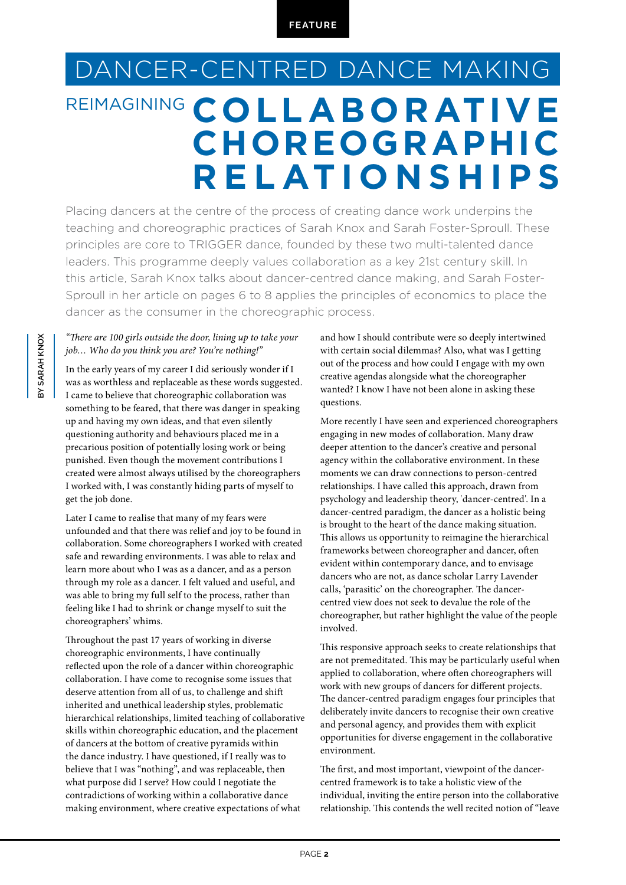## DANCER-CENTRED DANCE MAKING REIMAGINING **COLLABORATIVE RELATIONSHIPS CHOREOGRAPHIC**

Placing dancers at the centre of the process of creating dance work underpins the teaching and choreographic practices of Sarah Knox and Sarah Foster-Sproull. These principles are core to TRIGGER dance, founded by these two multi-talented dance leaders. This programme deeply values collaboration as a key 21st century skill. In this article, Sarah Knox talks about dancer-centred dance making, and Sarah Foster-Sproull in her article on pages 6 to 8 applies the principles of economics to place the dancer as the consumer in the choreographic process.

## *"There are 100 girls outside the door, lining up to take your job… Who do you think you are? You're nothing!"*

In the early years of my career I did seriously wonder if I was as worthless and replaceable as these words suggested. I came to believe that choreographic collaboration was something to be feared, that there was danger in speaking up and having my own ideas, and that even silently questioning authority and behaviours placed me in a precarious position of potentially losing work or being punished. Even though the movement contributions I created were almost always utilised by the choreographers I worked with, I was constantly hiding parts of myself to get the job done.

Later I came to realise that many of my fears were unfounded and that there was relief and joy to be found in collaboration. Some choreographers I worked with created safe and rewarding environments. I was able to relax and learn more about who I was as a dancer, and as a person through my role as a dancer. I felt valued and useful, and was able to bring my full self to the process, rather than feeling like I had to shrink or change myself to suit the choreographers' whims.

Throughout the past 17 years of working in diverse choreographic environments, I have continually reflected upon the role of a dancer within choreographic collaboration. I have come to recognise some issues that deserve attention from all of us, to challenge and shift inherited and unethical leadership styles, problematic hierarchical relationships, limited teaching of collaborative skills within choreographic education, and the placement of dancers at the bottom of creative pyramids within the dance industry. I have questioned, if I really was to believe that I was "nothing", and was replaceable, then what purpose did I serve? How could I negotiate the contradictions of working within a collaborative dance making environment, where creative expectations of what

and how I should contribute were so deeply intertwined with certain social dilemmas? Also, what was I getting out of the process and how could I engage with my own creative agendas alongside what the choreographer wanted? I know I have not been alone in asking these questions.

More recently I have seen and experienced choreographers engaging in new modes of collaboration. Many draw deeper attention to the dancer's creative and personal agency within the collaborative environment. In these moments we can draw connections to person-centred relationships. I have called this approach, drawn from psychology and leadership theory, 'dancer-centred'. In a dancer-centred paradigm, the dancer as a holistic being is brought to the heart of the dance making situation. This allows us opportunity to reimagine the hierarchical frameworks between choreographer and dancer, often evident within contemporary dance, and to envisage dancers who are not, as dance scholar Larry Lavender calls, 'parasitic' on the choreographer. The dancercentred view does not seek to devalue the role of the choreographer, but rather highlight the value of the people involved.

This responsive approach seeks to create relationships that are not premeditated. This may be particularly useful when applied to collaboration, where often choreographers will work with new groups of dancers for different projects. The dancer-centred paradigm engages four principles that deliberately invite dancers to recognise their own creative and personal agency, and provides them with explicit opportunities for diverse engagement in the collaborative environment.

The first, and most important, viewpoint of the dancercentred framework is to take a holistic view of the individual, inviting the entire person into the collaborative relationship. This contends the well recited notion of "leave